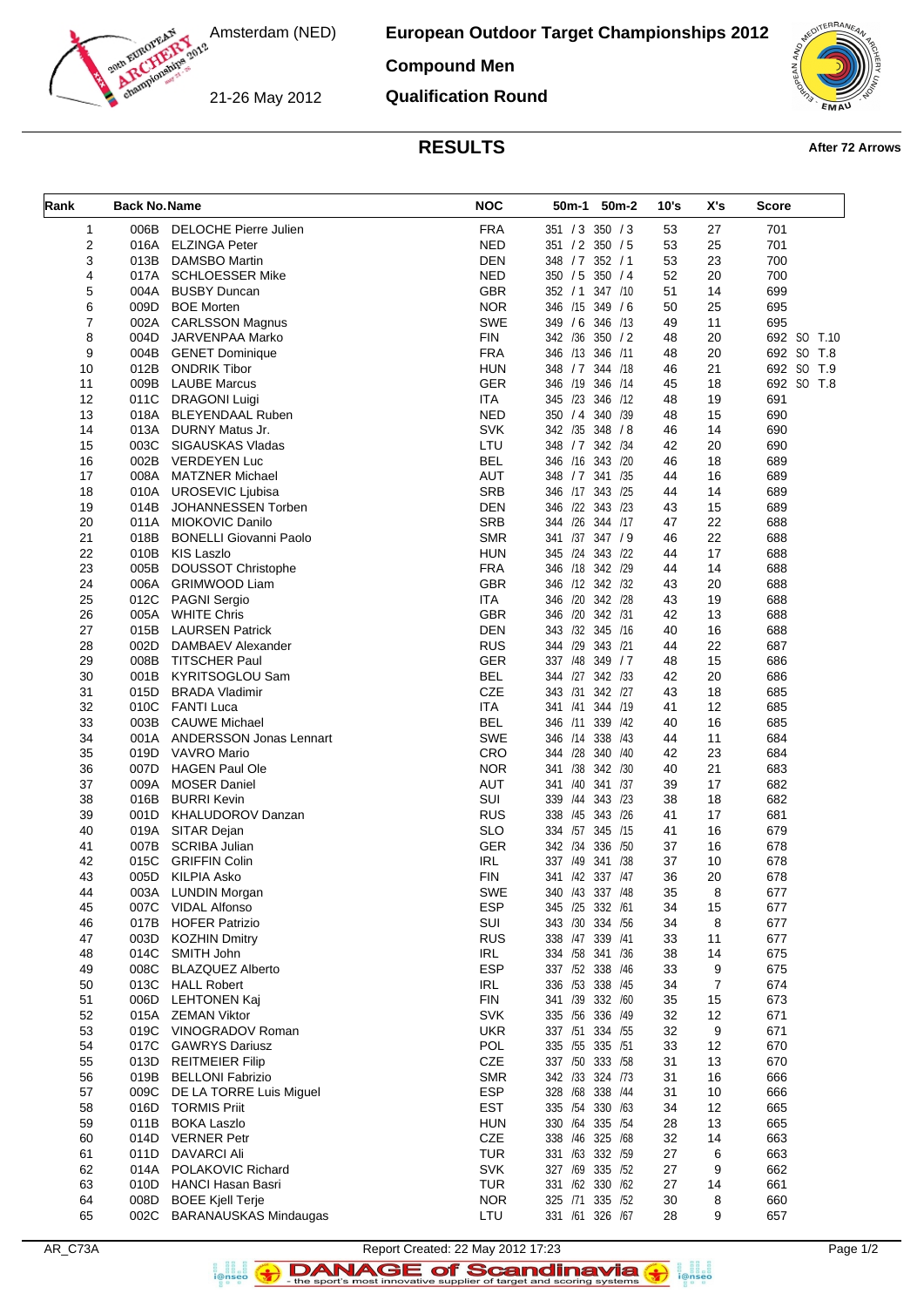

**European Outdoor Target Championships 2012**

## **Compound Men**

21-26 May 2012

**Qualification Round**



# **RESULTS After 72 Arrows**

| Rank     | <b>Back No. Name</b> |                                                        | <b>NOC</b>               | 50m-1<br>50 <sub>m</sub> -2           | 10's     | X's      | <b>Score</b> |
|----------|----------------------|--------------------------------------------------------|--------------------------|---------------------------------------|----------|----------|--------------|
| 1        | 006B                 | <b>DELOCHE Pierre Julien</b>                           | <b>FRA</b>               | 351 / 3 350 / 3                       | 53       | 27       | 701          |
| 2        |                      | 016A ELZINGA Peter                                     | <b>NED</b>               | 351 / 2 350 / 5                       | 53       | 25       | 701          |
| 3        | 013B                 | <b>DAMSBO Martin</b>                                   | <b>DEN</b>               | 348 / 7 352 / 1                       | 53       | 23       | 700          |
| 4        | 017A                 | <b>SCHLOESSER Mike</b>                                 | <b>NED</b>               | 350 / 5 350 / 4                       | 52       | 20       | 700          |
| 5        |                      | 004A BUSBY Duncan                                      | <b>GBR</b>               | 347 /10<br>352 / 1                    | 51       | 14       | 699          |
| 6        | 009D                 | <b>BOE Morten</b>                                      | <b>NOR</b>               | 346 /15 349 / 6                       | 50       | 25       | 695          |
| 7        | 002A                 | <b>CARLSSON Magnus</b>                                 | <b>SWE</b>               | 349 / 6 346 / 13                      | 49       | 11       | 695          |
| 8        | 004D                 | JARVENPAA Marko                                        | <b>FIN</b>               | 342 /36 350 / 2                       | 48       | 20       | 692 SO T.10  |
| 9        |                      | 004B GENET Dominique                                   | <b>FRA</b>               | 346 /13 346 /11                       | 48       | 20       | 692 SO T.8   |
| 10       |                      | 012B ONDRIK Tibor                                      | <b>HUN</b>               | 348 / 7 344 / 18                      | 46       | 21       | 692 SO T.9   |
| 11       | 009B                 | <b>LAUBE Marcus</b>                                    | <b>GER</b>               | 346 /19<br>346 /14                    | 45       | 18       | 692 SO T.8   |
| 12       | 011C                 | <b>DRAGONI Luigi</b>                                   | ITA.                     | 345 /23 346 /12                       | 48       | 19       | 691          |
| 13       | 013A                 | 018A BLEYENDAAL Ruben<br>DURNY Matus Jr.               | <b>NED</b><br>SVK        | 350 / 4 340 / 39<br>342 /35 348 / 8   | 48       | 15<br>14 | 690          |
| 14<br>15 | 003C                 | SIGAUSKAS Vladas                                       | LTU                      | 348 / 7 342 / 34                      | 46<br>42 | 20       | 690<br>690   |
| 16       | 002B                 | <b>VERDEYEN Luc</b>                                    | <b>BEL</b>               | 346 /16 343 /20                       | 46       | 18       | 689          |
| 17       | 008A                 | <b>MATZNER Michael</b>                                 | <b>AUT</b>               | 348 / 7 341 / 35                      | 44       | 16       | 689          |
| 18       | 010A                 | UROSEVIC Ljubisa                                       | <b>SRB</b>               | 346 /17 343 /25                       | 44       | 14       | 689          |
| 19       | 014B                 | JOHANNESSEN Torben                                     | <b>DEN</b>               | 346 /22 343 /23                       | 43       | 15       | 689          |
| 20       | 011A                 | MIOKOVIC Danilo                                        | <b>SRB</b>               | 344 /26 344 /17                       | 47       | 22       | 688          |
| 21       | 018B                 | <b>BONELLI Giovanni Paolo</b>                          | <b>SMR</b>               | 341 /37 347 / 9                       | 46       | 22       | 688          |
| 22       | 010B                 | KIS Laszlo                                             | <b>HUN</b>               | 345 /24 343 /22                       | 44       | 17       | 688          |
| 23       | 005B                 | <b>DOUSSOT Christophe</b>                              | <b>FRA</b>               | 346 /18 342 /29                       | 44       | 14       | 688          |
| 24       | 006A                 | <b>GRIMWOOD Liam</b>                                   | <b>GBR</b>               | 346 /12 342 /32                       | 43       | 20       | 688          |
| 25       | 012C                 | <b>PAGNI Sergio</b>                                    | <b>ITA</b>               | 346 /20 342 /28                       | 43       | 19       | 688          |
| 26       | 005A                 | <b>WHITE Chris</b>                                     | <b>GBR</b>               | 346 /20 342 /31                       | 42       | 13       | 688          |
| 27       | 015B                 | <b>LAURSEN Patrick</b>                                 | <b>DEN</b>               | 343 /32 345 /16                       | 40       | 16       | 688          |
| 28       | 002D                 | DAMBAEV Alexander                                      | <b>RUS</b>               | 344 /29<br>343 /21                    | 44       | 22       | 687          |
| 29       | 008B                 | <b>TITSCHER Paul</b>                                   | <b>GER</b>               | 337 /48 349 / 7                       | 48       | 15       | 686          |
| 30       | 001B                 | KYRITSOGLOU Sam                                        | <b>BEL</b>               | 344 /27 342 /33                       | 42       | 20       | 686          |
| 31       | 015D                 | <b>BRADA Vladimir</b>                                  | CZE                      | 343 /31<br>342 /27                    | 43       | 18       | 685          |
| 32       | 010C<br>003B         | <b>FANTI Luca</b>                                      | <b>ITA</b><br><b>BEL</b> | 341 /41 344 /19<br>346 /11<br>339 /42 | 41       | 12<br>16 | 685          |
| 33<br>34 | 001A                 | <b>CAUWE Michael</b><br><b>ANDERSSON Jonas Lennart</b> | <b>SWE</b>               | 338 /43<br>346 /14                    | 40<br>44 | 11       | 685<br>684   |
| 35       | 019D                 | <b>VAVRO Mario</b>                                     | CRO                      | 344 /28 340 /40                       | 42       | 23       | 684          |
| 36       | 007D                 | <b>HAGEN Paul Ole</b>                                  | <b>NOR</b>               | 341 /38 342 /30                       | 40       | 21       | 683          |
| 37       | 009A                 | <b>MOSER Daniel</b>                                    | <b>AUT</b>               | 341 /40<br>341 /37                    | 39       | 17       | 682          |
| 38       | 016B                 | <b>BURRI Kevin</b>                                     | SUI                      | 339 /44 343 /23                       | 38       | 18       | 682          |
| 39       |                      | 001D KHALUDOROV Danzan                                 | <b>RUS</b>               | 338 /45 343 /26                       | 41       | 17       | 681          |
| 40       |                      | 019A SITAR Dejan                                       | <b>SLO</b>               | 334 /57 345 /15                       | 41       | 16       | 679          |
| 41       | 007B                 | <b>SCRIBA Julian</b>                                   | GER                      | 342 /34 336 /50                       | 37       | 16       | 678          |
| 42       | 015C                 | <b>GRIFFIN Colin</b>                                   | <b>IRL</b>               | 337 /49 341 /38                       | 37       | 10       | 678          |
| 43       |                      | 005D KILPIA Asko                                       | <b>FIN</b>               | 341 /42 337 /47                       | 36       | 20       | 678          |
| 44       |                      | 003A LUNDIN Morgan                                     | SWE                      | 340 /43 337 /48                       | 35       | 8        | 677          |
| 45       |                      | 007C VIDAL Alfonso                                     | <b>ESP</b>               | 345 /25 332 /61                       | 34       | 15       | 677          |
| 46       | 017B                 | <b>HOFER Patrizio</b>                                  | SUI                      | 343 /30 334 /56                       | 34       | 8        | 677          |
| 47       | 003D                 | <b>KOZHIN Dmitry</b>                                   | <b>RUS</b>               | 338 /47 339 /41                       | 33       | 11       | 677          |
| 48       | 014C                 | SMITH John                                             | IRL                      | 334 /58 341 /36                       | 38       | 14       | 675          |
| 49       | 008C                 | <b>BLAZQUEZ Alberto</b>                                | <b>ESP</b>               | 337 /52 338 /46                       | 33       | 9        | 675          |
| 50<br>51 | 013C<br>006D         | <b>HALL Robert</b><br><b>LEHTONEN Kaj</b>              | IRL<br><b>FIN</b>        | 336 /53 338 /45<br>341 /39 332 /60    | 34<br>35 | 7<br>15  | 674<br>673   |
| 52       | 015A                 | ZEMAN Viktor                                           | <b>SVK</b>               | 335 /56 336 /49                       | 32       | 12       | 671          |
| 53       | 019C                 | VINOGRADOV Roman                                       | <b>UKR</b>               | 337 /51 334 /55                       | 32       | 9        | 671          |
| 54       | 017C                 | <b>GAWRYS Dariusz</b>                                  | POL                      | 335 /55 335 /51                       | 33       | 12       | 670          |
| 55       |                      | 013D REITMEIER Filip                                   | CZE                      | 337 /50 333 /58                       | 31       | 13       | 670          |
| 56       | 019B                 | <b>BELLONI Fabrizio</b>                                | <b>SMR</b>               | 342 /33 324 /73                       | 31       | 16       | 666          |
| 57       | 009C                 | DE LA TORRE Luis Miguel                                | <b>ESP</b>               | 328 /68 338 /44                       | 31       | 10       | 666          |
| 58       | 016D                 | <b>TORMIS Priit</b>                                    | <b>EST</b>               | 335 /54 330 /63                       | 34       | 12       | 665          |
| 59       | 011B                 | <b>BOKA Laszlo</b>                                     | <b>HUN</b>               | 330 /64 335 /54                       | 28       | 13       | 665          |
| 60       | 014D                 | <b>VERNER Petr</b>                                     | CZE                      | 338 /46 325 /68                       | 32       | 14       | 663          |
| 61       | 011D                 | <b>DAVARCI Ali</b>                                     | <b>TUR</b>               | 331 /63 332 /59                       | 27       | 6        | 663          |
| 62       | 014A                 | POLAKOVIC Richard                                      | SVK                      | 327 /69 335 /52                       | 27       | 9        | 662          |
| 63       | 010D                 | HANCI Hasan Basri                                      | <b>TUR</b>               | 331 /62 330 /62                       | 27       | 14       | 661          |
| 64       | 008D                 | <b>BOEE Kjell Terje</b>                                | <b>NOR</b>               | 325 /71 335 /52                       | 30       | 8        | 660          |
| 65       |                      | 002C BARANAUSKAS Mindaugas                             | LTU                      | 331 /61 326 /67                       | 28       | 9        | 657          |



a analis<br>i@nseo

 $\left( \rightarrow \right)$